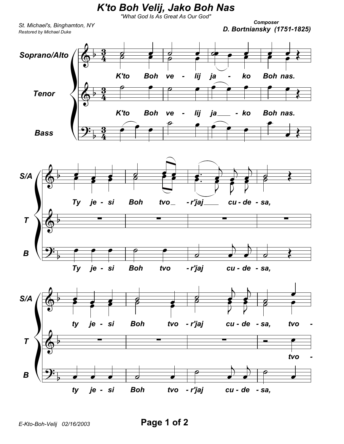